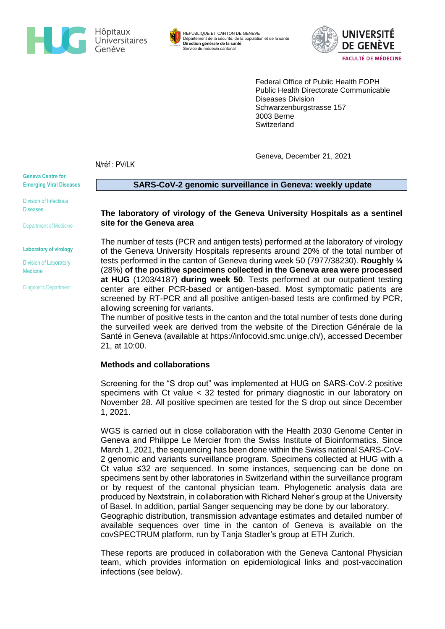



REPUBLIQUE ET CANTON DE GENEVE Département de la sécurité, de la population et de la santé **Direction générale de la santé** Service du médecin cantonal



Federal Office of Public Health FOPH Public Health Directorate Communicable Diseases Division Schwarzenburgstrasse 157 3003 Berne **Switzerland** 

Geneva, December 21, 2021

N/réf : PV/LK

**Geneva Centre for Emerging Viral Diseases**

Division of Infectious Diseases

Department of Medicine

**Laboratory of virology**

Division of Laboratory Medicine

Diagnostic Department

**SARS-CoV-2 genomic surveillance in Geneva: weekly update** 

### **The laboratory of virology of the Geneva University Hospitals as a sentinel site for the Geneva area**

The number of tests (PCR and antigen tests) performed at the laboratory of virology of the Geneva University Hospitals represents around 20% of the total number of tests performed in the canton of Geneva during week 50 (7977/38230). **Roughly ¼** (28%) **of the positive specimens collected in the Geneva area were processed at HUG** (1203/4187) **during week 50**. Tests performed at our outpatient testing center are either PCR-based or antigen-based. Most symptomatic patients are screened by RT-PCR and all positive antigen-based tests are confirmed by PCR, allowing screening for variants.

The number of positive tests in the canton and the total number of tests done during the surveilled week are derived from the website of the Direction Générale de la Santé in Geneva (available at [https://infocovid.smc.unige.ch/\)](https://infocovid.smc.unige.ch/), accessed December 21, at 10:00.

# **Methods and collaborations**

Screening for the "S drop out" was implemented at HUG on SARS-CoV-2 positive specimens with Ct value < 32 tested for primary diagnostic in our laboratory on November 28. All positive specimen are tested for the S drop out since December 1, 2021.

WGS is carried out in close collaboration with the Health 2030 Genome Center in Geneva and Philippe Le Mercier from the Swiss Institute of Bioinformatics. Since March 1, 2021, the sequencing has been done within the Swiss national SARS-CoV-2 genomic and variants surveillance program. Specimens collected at HUG with a Ct value ≤32 are sequenced. In some instances, sequencing can be done on specimens sent by other laboratories in Switzerland within the surveillance program or by request of the cantonal physician team. Phylogenetic analysis data are produced by Nextstrain, in collaboration with Richard Neher's group at the University of Basel. In addition, partial Sanger sequencing may be done by our laboratory.

Geographic distribution, transmission advantage estimates and detailed number of available sequences over time in the canton of Geneva is available on the covSPECTRUM platform, run by Tanja Stadler's group at ETH Zurich.

These reports are produced in collaboration with the Geneva Cantonal Physician team, which provides information on epidemiological links and post-vaccination infections (see below).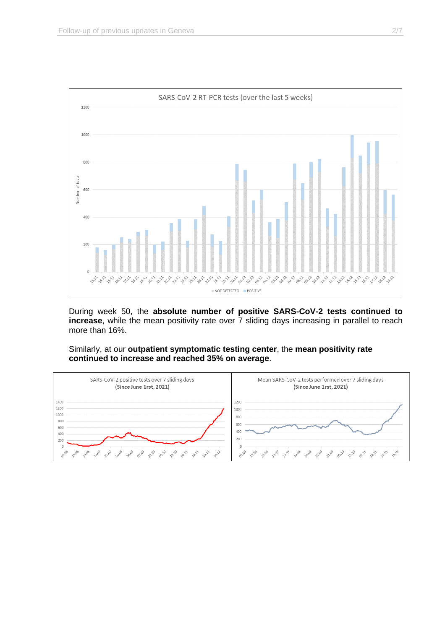

During week 50, the **absolute number of positive SARS-CoV-2 tests continued to increase**, while the mean positivity rate over 7 sliding days increasing in parallel to reach more than 16%.

Similarly, at our **outpatient symptomatic testing center**, the **mean positivity rate continued to increase and reached 35% on average**.

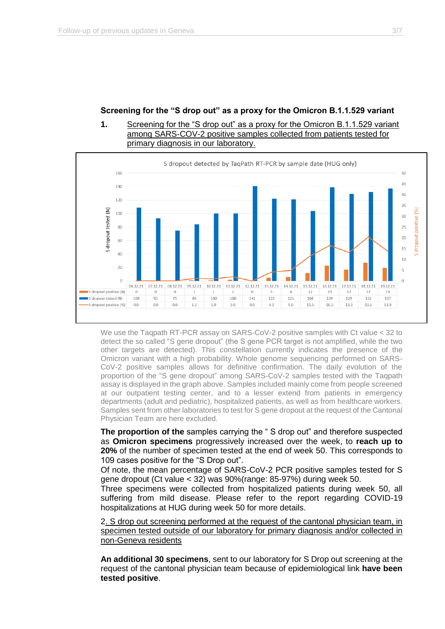# **Screening for the "S drop out" as a proxy for the Omicron B.1.1.529 variant**

# **1.** Screening for the "S drop out" as a proxy for the Omicron B.1.1.529 variant among SARS-COV-2 positive samples collected from patients tested for primary diagnosis in our laboratory.



We use the Taqpath RT-PCR assay on SARS-CoV-2 positive samples with Ct value < 32 to detect the so called "S gene dropout" (the S gene PCR target is not amplified, while the two other targets are detected). This constellation currently indicates the presence of the Omicron variant with a high probability. Whole genome sequencing performed on SARS-CoV-2 positive samples allows for definitive confirmation. The daily evolution of the proportion of the "S gene dropout" among SARS-CoV-2 samples tested with the Taqpath assay is displayed in the graph above. Samples included mainly come from people screened at our outpatient testing center, and to a lesser extend from patients in emergency departments (adult and pediatric), hospitalized patients, as well as from healthcare workers. Samples sent from other laboratories to test for S gene dropout at the request of the Cantonal Physician Team are here excluded.

**The proportion of the** samples carrying the " S drop out" and therefore suspected as **Omicron specimens** progressively increased over the week, to **reach up to 20%** of the number of specimen tested at the end of week 50. This corresponds to 109 cases positive for the "S Drop out".

Of note, the mean percentage of SARS-CoV-2 PCR positive samples tested for S gene dropout (Ct value < 32) was 90%(range: 85-97%) during week 50.

Three specimens were collected from hospitalized patients during week 50, all suffering from mild disease. Please refer to the report regarding COVID-19 hospitalizations at HUG during week 50 for more details.

2. S drop out screening performed at the request of the cantonal physician team, in specimen tested outside of our laboratory for primary diagnosis and/or collected in non-Geneva residents

**An additional 30 specimens**, sent to our laboratory for S Drop out screening at the request of the cantonal physician team because of epidemiological link **have been tested positive**.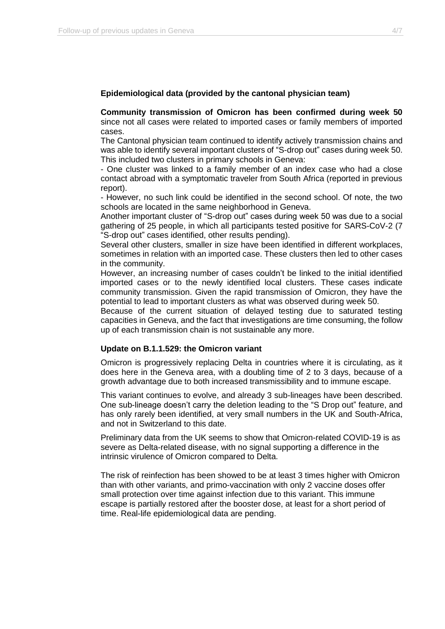### **Epidemiological data (provided by the cantonal physician team)**

**Community transmission of Omicron has been confirmed during week 50** since not all cases were related to imported cases or family members of imported cases.

The Cantonal physician team continued to identify actively transmission chains and was able to identify several important clusters of "S-drop out" cases during week 50. This included two clusters in primary schools in Geneva:

- One cluster was linked to a family member of an index case who had a close contact abroad with a symptomatic traveler from South Africa (reported in previous report).

- However, no such link could be identified in the second school. Of note, the two schools are located in the same neighborhood in Geneva.

Another important cluster of "S-drop out" cases during week 50 was due to a social gathering of 25 people, in which all participants tested positive for SARS-CoV-2 (7 "S-drop out" cases identified, other results pending).

Several other clusters, smaller in size have been identified in different workplaces, sometimes in relation with an imported case. These clusters then led to other cases in the community.

However, an increasing number of cases couldn't be linked to the initial identified imported cases or to the newly identified local clusters. These cases indicate community transmission. Given the rapid transmission of Omicron, they have the potential to lead to important clusters as what was observed during week 50.

Because of the current situation of delayed testing due to saturated testing capacities in Geneva, and the fact that investigations are time consuming, the follow up of each transmission chain is not sustainable any more.

#### **Update on B.1.1.529: the Omicron variant**

Omicron is progressively replacing Delta in countries where it is circulating, as it does here in the Geneva area, with a doubling time of 2 to 3 days, because of a growth advantage due to both increased transmissibility and to immune escape.

This variant continues to evolve, and already 3 sub-lineages have been described. One sub-lineage doesn't carry the deletion leading to the "S Drop out" feature, and has only rarely been identified, at very small numbers in the UK and South-Africa, and not in Switzerland to this date.

Preliminary data from the UK seems to show that Omicron-related COVID-19 is as severe as Delta-related disease, with no signal supporting a difference in the intrinsic virulence of Omicron compared to Delta.

The risk of reinfection has been showed to be at least 3 times higher with Omicron than with other variants, and primo-vaccination with only 2 vaccine doses offer small protection over time against infection due to this variant. This immune escape is partially restored after the booster dose, at least for a short period of time. Real-life epidemiological data are pending.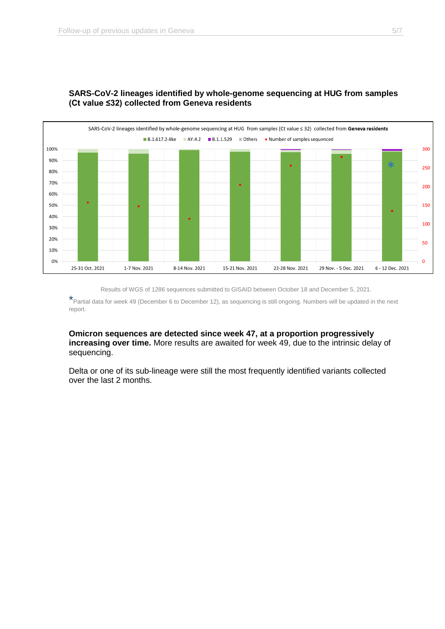

# **SARS-CoV-2 lineages identified by whole-genome sequencing at HUG from samples (Ct value ≤32) collected from Geneva residents**

Results of WGS of 1286 sequences submitted to GISAID between October 18 and December 5, 2021.

\*Partial data for week 49 (December 6 to December 12), as sequencing is still ongoing. Numbers will be updated in the next report.

**Omicron sequences are detected since week 47, at a proportion progressively increasing over time.** More results are awaited for week 49, due to the intrinsic delay of sequencing.

Delta or one of its sub-lineage were still the most frequently identified variants collected over the last 2 months.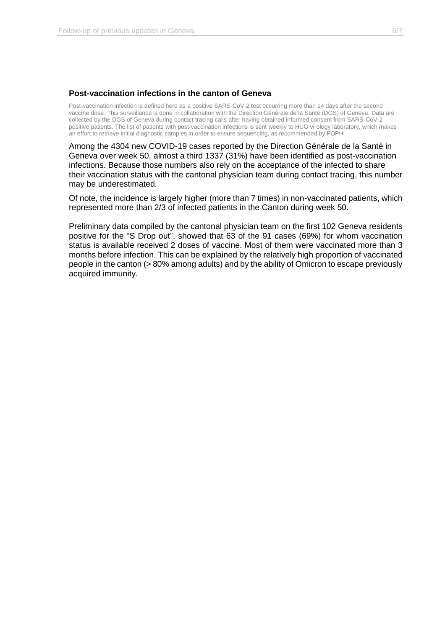#### **Post-vaccination infections in the canton of Geneva**

Post-vaccination infection is defined here as a positive SARS-CoV-2 test occurring more than 14 days after the second vaccine dose. This surveillance is done in collaboration with the Direction Générale de la Santé (DGS) of Geneva. Data are collected by the DGS of Geneva during contact tracing calls after having obtained informed consent from SARS-CoV-2 positive patients. The list of patients with post-vaccination infections is sent weekly to HUG virology laboratory, which makes an effort to retrieve initial diagnostic samples in order to ensure sequencing, as recommended by FOPH.

Among the 4304 new COVID-19 cases reported by the Direction Générale de la Santé in Geneva over week 50, almost a third 1337 (31%) have been identified as post-vaccination infections. Because those numbers also rely on the acceptance of the infected to share their vaccination status with the cantonal physician team during contact tracing, this number may be underestimated.

Of note, the incidence is largely higher (more than 7 times) in non-vaccinated patients, which represented more than 2/3 of infected patients in the Canton during week 50.

Preliminary data compiled by the cantonal physician team on the first 102 Geneva residents positive for the "S Drop out", showed that 63 of the 91 cases (69%) for whom vaccination status is available received 2 doses of vaccine. Most of them were vaccinated more than 3 months before infection. This can be explained by the relatively high proportion of vaccinated people in the canton (> 80% among adults) and by the ability of Omicron to escape previously acquired immunity.